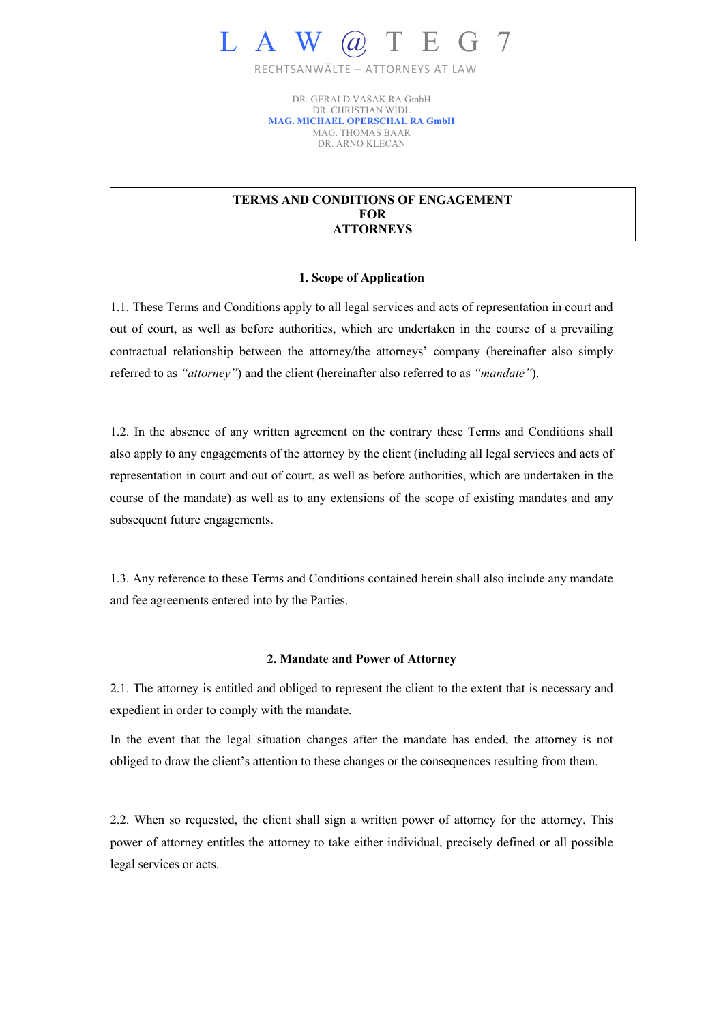

RECHTSANWÄLTE – ATTORNEYS AT LAW

DR. GERALD VASAK RA GmbH DR. CHRISTIAN WIDL **MAG. MICHAEL OPERSCHAL RA GmbH** MAG. THOMAS BAAR DR. ARNO KLECAN

# **TERMS AND CONDITIONS OF ENGAGEMENT FOR ATTORNEYS**

### **1. Scope of Application**

1.1. These Terms and Conditions apply to all legal services and acts of representation in court and out of court, as well as before authorities, which are undertaken in the course of a prevailing contractual relationship between the attorney/the attorneys' company (hereinafter also simply referred to as *"attorney"*) and the client (hereinafter also referred to as *"mandate"*).

1.2. In the absence of any written agreement on the contrary these Terms and Conditions shall also apply to any engagements of the attorney by the client (including all legal services and acts of representation in court and out of court, as well as before authorities, which are undertaken in the course of the mandate) as well as to any extensions of the scope of existing mandates and any subsequent future engagements.

1.3. Any reference to these Terms and Conditions contained herein shall also include any mandate and fee agreements entered into by the Parties.

# **2. Mandate and Power of Attorney**

2.1. The attorney is entitled and obliged to represent the client to the extent that is necessary and expedient in order to comply with the mandate.

In the event that the legal situation changes after the mandate has ended, the attorney is not obliged to draw the client's attention to these changes or the consequences resulting from them.

2.2. When so requested, the client shall sign a written power of attorney for the attorney. This power of attorney entitles the attorney to take either individual, precisely defined or all possible legal services or acts.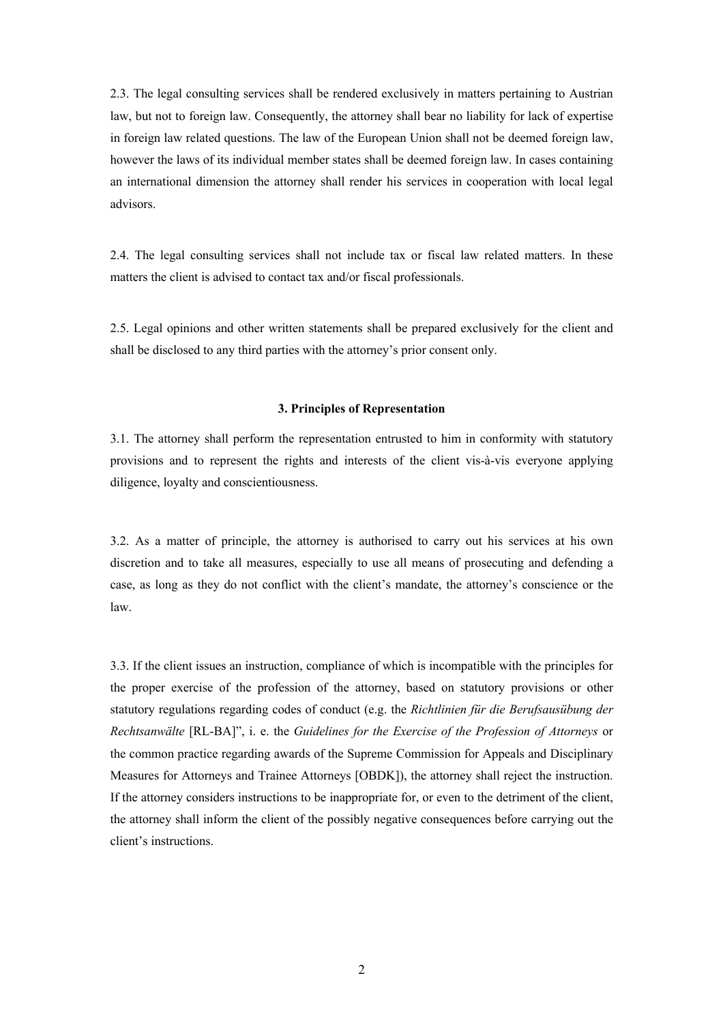2.3. The legal consulting services shall be rendered exclusively in matters pertaining to Austrian law, but not to foreign law. Consequently, the attorney shall bear no liability for lack of expertise in foreign law related questions. The law of the European Union shall not be deemed foreign law, however the laws of its individual member states shall be deemed foreign law. In cases containing an international dimension the attorney shall render his services in cooperation with local legal advisors.

2.4. The legal consulting services shall not include tax or fiscal law related matters. In these matters the client is advised to contact tax and/or fiscal professionals.

2.5. Legal opinions and other written statements shall be prepared exclusively for the client and shall be disclosed to any third parties with the attorney's prior consent only.

## **3. Principles of Representation**

3.1. The attorney shall perform the representation entrusted to him in conformity with statutory provisions and to represent the rights and interests of the client vis-à-vis everyone applying diligence, loyalty and conscientiousness.

3.2. As a matter of principle, the attorney is authorised to carry out his services at his own discretion and to take all measures, especially to use all means of prosecuting and defending a case, as long as they do not conflict with the client's mandate, the attorney's conscience or the law.

3.3. If the client issues an instruction, compliance of which is incompatible with the principles for the proper exercise of the profession of the attorney, based on statutory provisions or other statutory regulations regarding codes of conduct (e.g. the *Richtlinien für die Berufsausübung der Rechtsanwälte* [RL-BA]", i. e. the *Guidelines for the Exercise of the Profession of Attorneys* or the common practice regarding awards of the Supreme Commission for Appeals and Disciplinary Measures for Attorneys and Trainee Attorneys [OBDK]), the attorney shall reject the instruction. If the attorney considers instructions to be inappropriate for, or even to the detriment of the client, the attorney shall inform the client of the possibly negative consequences before carrying out the client's instructions.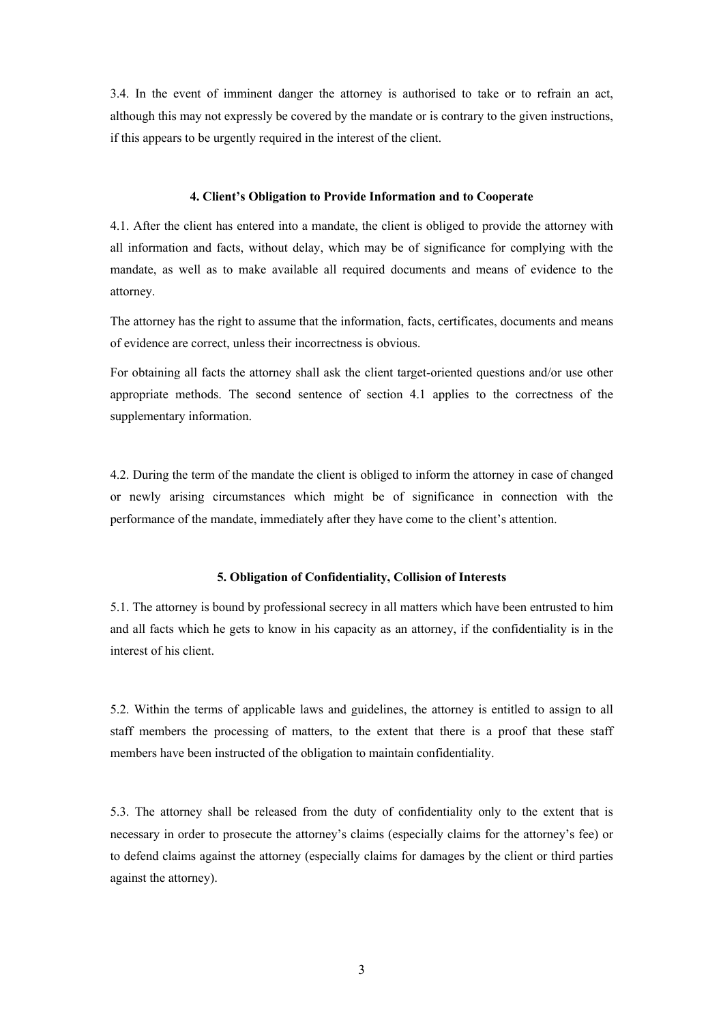3.4. In the event of imminent danger the attorney is authorised to take or to refrain an act, although this may not expressly be covered by the mandate or is contrary to the given instructions, if this appears to be urgently required in the interest of the client.

### **4. Client's Obligation to Provide Information and to Cooperate**

4.1. After the client has entered into a mandate, the client is obliged to provide the attorney with all information and facts, without delay, which may be of significance for complying with the mandate, as well as to make available all required documents and means of evidence to the attorney.

The attorney has the right to assume that the information, facts, certificates, documents and means of evidence are correct, unless their incorrectness is obvious.

For obtaining all facts the attorney shall ask the client target-oriented questions and/or use other appropriate methods. The second sentence of section 4.1 applies to the correctness of the supplementary information.

4.2. During the term of the mandate the client is obliged to inform the attorney in case of changed or newly arising circumstances which might be of significance in connection with the performance of the mandate, immediately after they have come to the client's attention.

## **5. Obligation of Confidentiality, Collision of Interests**

5.1. The attorney is bound by professional secrecy in all matters which have been entrusted to him and all facts which he gets to know in his capacity as an attorney, if the confidentiality is in the interest of his client.

5.2. Within the terms of applicable laws and guidelines, the attorney is entitled to assign to all staff members the processing of matters, to the extent that there is a proof that these staff members have been instructed of the obligation to maintain confidentiality.

5.3. The attorney shall be released from the duty of confidentiality only to the extent that is necessary in order to prosecute the attorney's claims (especially claims for the attorney's fee) or to defend claims against the attorney (especially claims for damages by the client or third parties against the attorney).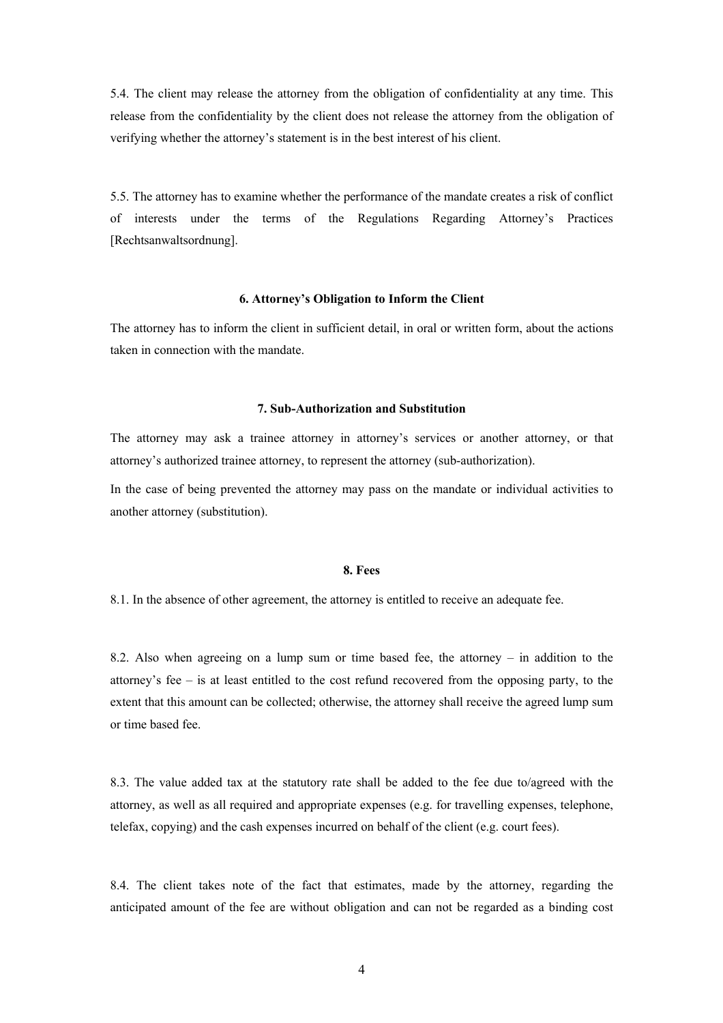5.4. The client may release the attorney from the obligation of confidentiality at any time. This release from the confidentiality by the client does not release the attorney from the obligation of verifying whether the attorney's statement is in the best interest of his client.

5.5. The attorney has to examine whether the performance of the mandate creates a risk of conflict of interests under the terms of the Regulations Regarding Attorney's Practices [Rechtsanwaltsordnung].

### **6. Attorney's Obligation to Inform the Client**

The attorney has to inform the client in sufficient detail, in oral or written form, about the actions taken in connection with the mandate.

#### **7. Sub-Authorization and Substitution**

The attorney may ask a trainee attorney in attorney's services or another attorney, or that attorney's authorized trainee attorney, to represent the attorney (sub-authorization).

In the case of being prevented the attorney may pass on the mandate or individual activities to another attorney (substitution).

## **8. Fees**

8.1. In the absence of other agreement, the attorney is entitled to receive an adequate fee.

8.2. Also when agreeing on a lump sum or time based fee, the attorney – in addition to the attorney's fee – is at least entitled to the cost refund recovered from the opposing party, to the extent that this amount can be collected; otherwise, the attorney shall receive the agreed lump sum or time based fee.

8.3. The value added tax at the statutory rate shall be added to the fee due to/agreed with the attorney, as well as all required and appropriate expenses (e.g. for travelling expenses, telephone, telefax, copying) and the cash expenses incurred on behalf of the client (e.g. court fees).

8.4. The client takes note of the fact that estimates, made by the attorney, regarding the anticipated amount of the fee are without obligation and can not be regarded as a binding cost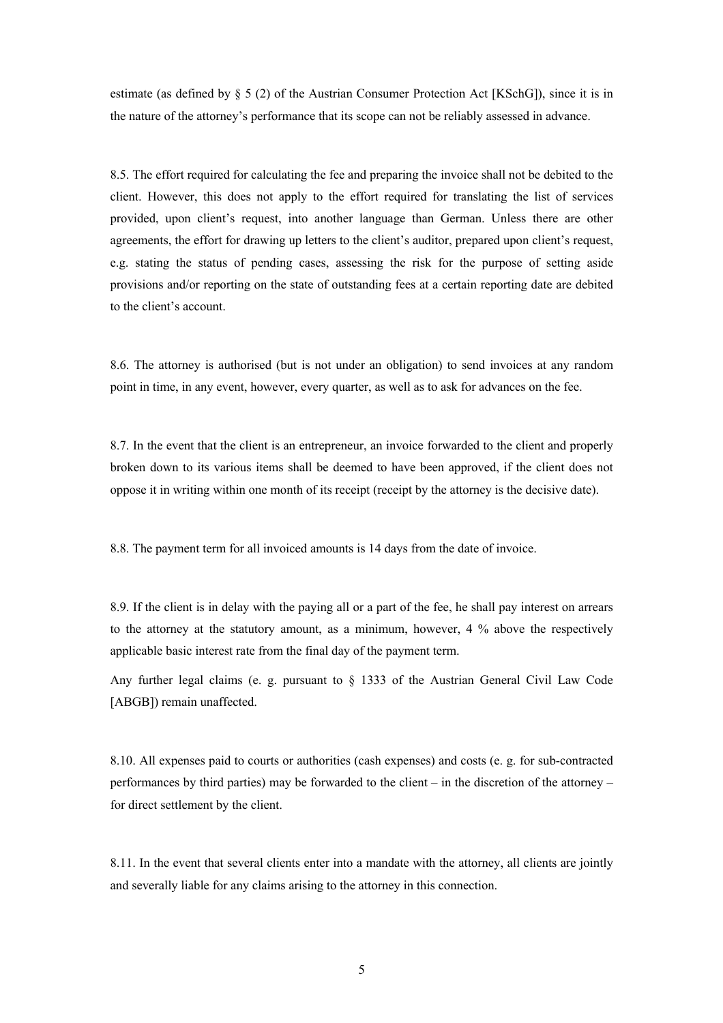estimate (as defined by § 5 (2) of the Austrian Consumer Protection Act [KSchG]), since it is in the nature of the attorney's performance that its scope can not be reliably assessed in advance.

8.5. The effort required for calculating the fee and preparing the invoice shall not be debited to the client. However, this does not apply to the effort required for translating the list of services provided, upon client's request, into another language than German. Unless there are other agreements, the effort for drawing up letters to the client's auditor, prepared upon client's request, e.g. stating the status of pending cases, assessing the risk for the purpose of setting aside provisions and/or reporting on the state of outstanding fees at a certain reporting date are debited to the client's account.

8.6. The attorney is authorised (but is not under an obligation) to send invoices at any random point in time, in any event, however, every quarter, as well as to ask for advances on the fee.

8.7. In the event that the client is an entrepreneur, an invoice forwarded to the client and properly broken down to its various items shall be deemed to have been approved, if the client does not oppose it in writing within one month of its receipt (receipt by the attorney is the decisive date).

8.8. The payment term for all invoiced amounts is 14 days from the date of invoice.

8.9. If the client is in delay with the paying all or a part of the fee, he shall pay interest on arrears to the attorney at the statutory amount, as a minimum, however, 4 % above the respectively applicable basic interest rate from the final day of the payment term.

Any further legal claims (e. g. pursuant to  $\S$  1333 of the Austrian General Civil Law Code [ABGB]) remain unaffected.

8.10. All expenses paid to courts or authorities (cash expenses) and costs (e. g. for sub-contracted performances by third parties) may be forwarded to the client – in the discretion of the attorney – for direct settlement by the client.

8.11. In the event that several clients enter into a mandate with the attorney, all clients are jointly and severally liable for any claims arising to the attorney in this connection.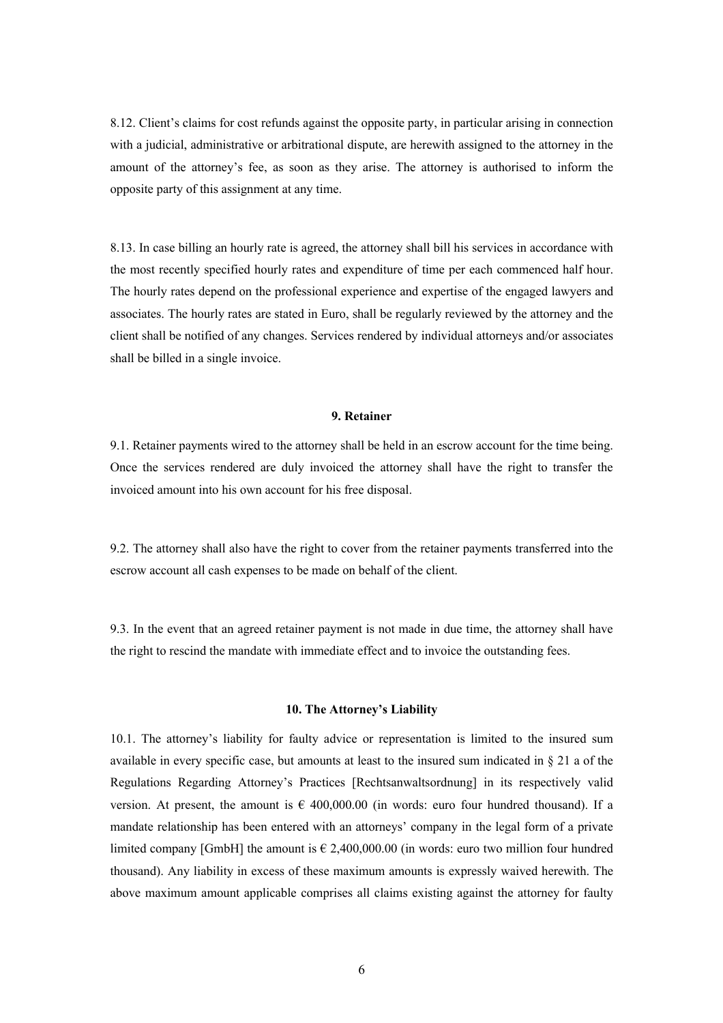8.12. Client's claims for cost refunds against the opposite party, in particular arising in connection with a judicial, administrative or arbitrational dispute, are herewith assigned to the attorney in the amount of the attorney's fee, as soon as they arise. The attorney is authorised to inform the opposite party of this assignment at any time.

8.13. In case billing an hourly rate is agreed, the attorney shall bill his services in accordance with the most recently specified hourly rates and expenditure of time per each commenced half hour. The hourly rates depend on the professional experience and expertise of the engaged lawyers and associates. The hourly rates are stated in Euro, shall be regularly reviewed by the attorney and the client shall be notified of any changes. Services rendered by individual attorneys and/or associates shall be billed in a single invoice.

# **9. Retainer**

9.1. Retainer payments wired to the attorney shall be held in an escrow account for the time being. Once the services rendered are duly invoiced the attorney shall have the right to transfer the invoiced amount into his own account for his free disposal.

9.2. The attorney shall also have the right to cover from the retainer payments transferred into the escrow account all cash expenses to be made on behalf of the client.

9.3. In the event that an agreed retainer payment is not made in due time, the attorney shall have the right to rescind the mandate with immediate effect and to invoice the outstanding fees.

#### **10. The Attorney's Liability**

10.1. The attorney's liability for faulty advice or representation is limited to the insured sum available in every specific case, but amounts at least to the insured sum indicated in § 21 a of the Regulations Regarding Attorney's Practices [Rechtsanwaltsordnung] in its respectively valid version. At present, the amount is  $\epsilon$  400,000.00 (in words: euro four hundred thousand). If a mandate relationship has been entered with an attorneys' company in the legal form of a private limited company [GmbH] the amount is  $\epsilon$  2,400,000.00 (in words: euro two million four hundred thousand). Any liability in excess of these maximum amounts is expressly waived herewith. The above maximum amount applicable comprises all claims existing against the attorney for faulty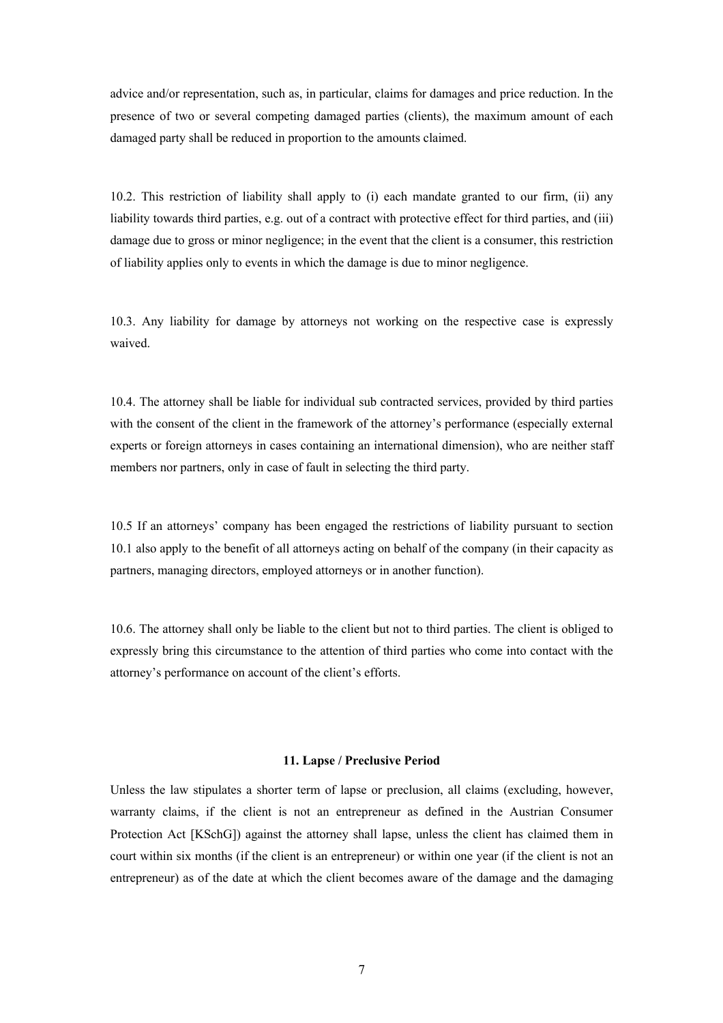advice and/or representation, such as, in particular, claims for damages and price reduction. In the presence of two or several competing damaged parties (clients), the maximum amount of each damaged party shall be reduced in proportion to the amounts claimed.

10.2. This restriction of liability shall apply to (i) each mandate granted to our firm, (ii) any liability towards third parties, e.g. out of a contract with protective effect for third parties, and (iii) damage due to gross or minor negligence; in the event that the client is a consumer, this restriction of liability applies only to events in which the damage is due to minor negligence.

10.3. Any liability for damage by attorneys not working on the respective case is expressly waived.

10.4. The attorney shall be liable for individual sub contracted services, provided by third parties with the consent of the client in the framework of the attorney's performance (especially external experts or foreign attorneys in cases containing an international dimension), who are neither staff members nor partners, only in case of fault in selecting the third party.

10.5 If an attorneys' company has been engaged the restrictions of liability pursuant to section 10.1 also apply to the benefit of all attorneys acting on behalf of the company (in their capacity as partners, managing directors, employed attorneys or in another function).

10.6. The attorney shall only be liable to the client but not to third parties. The client is obliged to expressly bring this circumstance to the attention of third parties who come into contact with the attorney's performance on account of the client's efforts.

### **11. Lapse / Preclusive Period**

Unless the law stipulates a shorter term of lapse or preclusion, all claims (excluding, however, warranty claims, if the client is not an entrepreneur as defined in the Austrian Consumer Protection Act [KSchG]) against the attorney shall lapse, unless the client has claimed them in court within six months (if the client is an entrepreneur) or within one year (if the client is not an entrepreneur) as of the date at which the client becomes aware of the damage and the damaging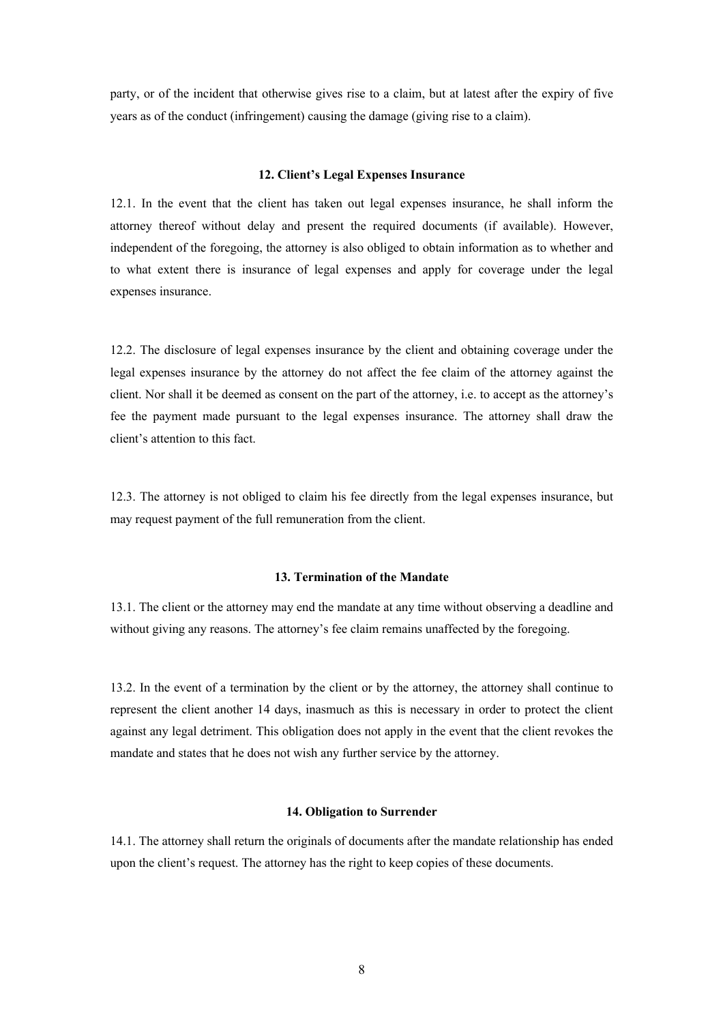party, or of the incident that otherwise gives rise to a claim, but at latest after the expiry of five years as of the conduct (infringement) causing the damage (giving rise to a claim).

## **12. Client's Legal Expenses Insurance**

12.1. In the event that the client has taken out legal expenses insurance, he shall inform the attorney thereof without delay and present the required documents (if available). However, independent of the foregoing, the attorney is also obliged to obtain information as to whether and to what extent there is insurance of legal expenses and apply for coverage under the legal expenses insurance.

12.2. The disclosure of legal expenses insurance by the client and obtaining coverage under the legal expenses insurance by the attorney do not affect the fee claim of the attorney against the client. Nor shall it be deemed as consent on the part of the attorney, i.e. to accept as the attorney's fee the payment made pursuant to the legal expenses insurance. The attorney shall draw the client's attention to this fact.

12.3. The attorney is not obliged to claim his fee directly from the legal expenses insurance, but may request payment of the full remuneration from the client.

# **13. Termination of the Mandate**

13.1. The client or the attorney may end the mandate at any time without observing a deadline and without giving any reasons. The attorney's fee claim remains unaffected by the foregoing.

13.2. In the event of a termination by the client or by the attorney, the attorney shall continue to represent the client another 14 days, inasmuch as this is necessary in order to protect the client against any legal detriment. This obligation does not apply in the event that the client revokes the mandate and states that he does not wish any further service by the attorney.

### **14. Obligation to Surrender**

14.1. The attorney shall return the originals of documents after the mandate relationship has ended upon the client's request. The attorney has the right to keep copies of these documents.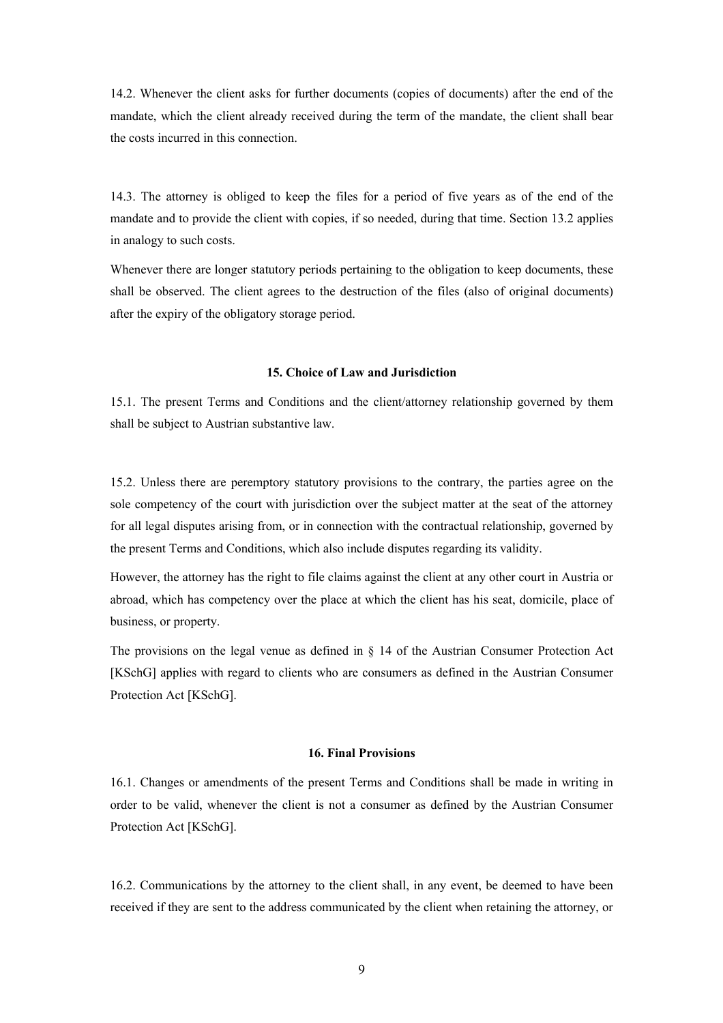14.2. Whenever the client asks for further documents (copies of documents) after the end of the mandate, which the client already received during the term of the mandate, the client shall bear the costs incurred in this connection.

14.3. The attorney is obliged to keep the files for a period of five years as of the end of the mandate and to provide the client with copies, if so needed, during that time. Section 13.2 applies in analogy to such costs.

Whenever there are longer statutory periods pertaining to the obligation to keep documents, these shall be observed. The client agrees to the destruction of the files (also of original documents) after the expiry of the obligatory storage period.

#### **15. Choice of Law and Jurisdiction**

15.1. The present Terms and Conditions and the client/attorney relationship governed by them shall be subject to Austrian substantive law.

15.2. Unless there are peremptory statutory provisions to the contrary, the parties agree on the sole competency of the court with jurisdiction over the subject matter at the seat of the attorney for all legal disputes arising from, or in connection with the contractual relationship, governed by the present Terms and Conditions, which also include disputes regarding its validity.

However, the attorney has the right to file claims against the client at any other court in Austria or abroad, which has competency over the place at which the client has his seat, domicile, place of business, or property.

The provisions on the legal venue as defined in § 14 of the Austrian Consumer Protection Act [KSchG] applies with regard to clients who are consumers as defined in the Austrian Consumer Protection Act [KSchG].

#### **16. Final Provisions**

16.1. Changes or amendments of the present Terms and Conditions shall be made in writing in order to be valid, whenever the client is not a consumer as defined by the Austrian Consumer Protection Act [KSchG].

16.2. Communications by the attorney to the client shall, in any event, be deemed to have been received if they are sent to the address communicated by the client when retaining the attorney, or